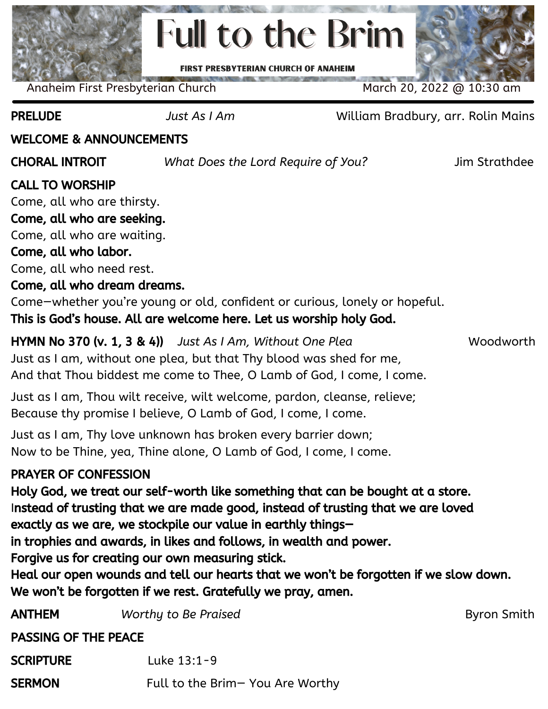

Anaheim First Presbyterian Church March 20, 2022 @ 10:30 am

PRELUDE *Just As I Am* William Bradbury, arr. Rolin Mains

### WELCOME & ANNOUNCEMENTS

CHORAL INTROIT *What Does the Lord Require of You?* Jim Strathdee

**Byron Smith** 

### CALL TO WORSHIP

Come, all who are thirsty.

## Come, all who are seeking.

Come, all who are waiting.

#### Come, all who labor.

Come, all who need rest.

#### Come, all who dream dreams.

Come—whether you're young or old, confident or curious, lonely or hopeful.

This is God's house. All are welcome here. Let us worship holy God.

HYMN No 370 (v. 1, 3 & 4)) *Just As I Am, Without One Plea* Woodworth Just as I am, without one plea, but that Thy blood was shed for me, And that Thou biddest me come to Thee, O Lamb of God, I come, I come.

Just as I am, Thou wilt receive, wilt welcome, pardon, cleanse, relieve; Because thy promise Ibelieve, O Lamb of God, I come, I come.

Just as I am, Thy love unknown has broken every barrier down; Now to be Thine, yea, Thine alone, O Lamb of God, I come, I come.

### PRAYER OF CONFESSION

Holy God, we treat our self-worth like something that can be bought at a store. Instead of trusting that we are made good, instead of trusting that we are loved exactly as we are, we stockpile our value in earthly things—

in trophies and awards, in likes and follows, in wealth and power.

Forgive us for creating our own measuring stick.

Heal our open wounds and tell our hearts that we won't be forgotten if we slow down. We won't be forgotten if we rest. Gratefully we pray, amen.

| <b>ANTHEM</b>               | Worthy to Be Praised             |
|-----------------------------|----------------------------------|
| <b>PASSING OF THE PEACE</b> |                                  |
| <b>SCRIPTURE</b>            | Luke 13:1-9                      |
| <b>SERMON</b>               | Full to the Brim- You Are Worthy |